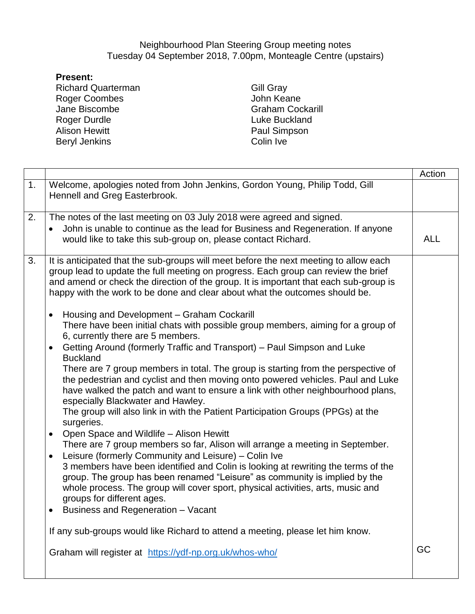## Neighbourhood Plan Steering Group meeting notes Tuesday 04 September 2018, 7.00pm, Monteagle Centre (upstairs)

## **Present:**

Richard Quarterman Roger Coombes Jane Biscombe Roger Durdle Alison Hewitt Beryl Jenkins

Gill Gray John Keane Graham Cockarill Luke Buckland Paul Simpson Colin Ive

|                  |                                                                                                                                                                                                                                                                                                                                                                                                                                                                                                                                                                                                                                                                                                                                                                                                                                                                                                                                                                                                                                                                                                                                                                                                                                                                                                                                                                                                                                                                                                                                                                                                                                                                                    | Action     |
|------------------|------------------------------------------------------------------------------------------------------------------------------------------------------------------------------------------------------------------------------------------------------------------------------------------------------------------------------------------------------------------------------------------------------------------------------------------------------------------------------------------------------------------------------------------------------------------------------------------------------------------------------------------------------------------------------------------------------------------------------------------------------------------------------------------------------------------------------------------------------------------------------------------------------------------------------------------------------------------------------------------------------------------------------------------------------------------------------------------------------------------------------------------------------------------------------------------------------------------------------------------------------------------------------------------------------------------------------------------------------------------------------------------------------------------------------------------------------------------------------------------------------------------------------------------------------------------------------------------------------------------------------------------------------------------------------------|------------|
| $\overline{1}$ . | Welcome, apologies noted from John Jenkins, Gordon Young, Philip Todd, Gill<br>Hennell and Greg Easterbrook.                                                                                                                                                                                                                                                                                                                                                                                                                                                                                                                                                                                                                                                                                                                                                                                                                                                                                                                                                                                                                                                                                                                                                                                                                                                                                                                                                                                                                                                                                                                                                                       |            |
| $\overline{2}$ . | The notes of the last meeting on 03 July 2018 were agreed and signed.<br>John is unable to continue as the lead for Business and Regeneration. If anyone<br>would like to take this sub-group on, please contact Richard.                                                                                                                                                                                                                                                                                                                                                                                                                                                                                                                                                                                                                                                                                                                                                                                                                                                                                                                                                                                                                                                                                                                                                                                                                                                                                                                                                                                                                                                          | <b>ALL</b> |
| 3.               | It is anticipated that the sub-groups will meet before the next meeting to allow each<br>group lead to update the full meeting on progress. Each group can review the brief<br>and amend or check the direction of the group. It is important that each sub-group is<br>happy with the work to be done and clear about what the outcomes should be.<br>Housing and Development - Graham Cockarill<br>$\bullet$<br>There have been initial chats with possible group members, aiming for a group of<br>6, currently there are 5 members.<br>Getting Around (formerly Traffic and Transport) – Paul Simpson and Luke<br>$\bullet$<br><b>Buckland</b><br>There are 7 group members in total. The group is starting from the perspective of<br>the pedestrian and cyclist and then moving onto powered vehicles. Paul and Luke<br>have walked the patch and want to ensure a link with other neighbourhood plans,<br>especially Blackwater and Hawley.<br>The group will also link in with the Patient Participation Groups (PPGs) at the<br>surgeries.<br>Open Space and Wildlife - Alison Hewitt<br>$\bullet$<br>There are 7 group members so far, Alison will arrange a meeting in September.<br>Leisure (formerly Community and Leisure) - Colin Ive<br>$\bullet$<br>3 members have been identified and Colin is looking at rewriting the terms of the<br>group. The group has been renamed "Leisure" as community is implied by the<br>whole process. The group will cover sport, physical activities, arts, music and<br>groups for different ages.<br>Business and Regeneration - Vacant<br>٠<br>If any sub-groups would like Richard to attend a meeting, please let him know. |            |
|                  | Graham will register at https://ydf-np.org.uk/whos-who/                                                                                                                                                                                                                                                                                                                                                                                                                                                                                                                                                                                                                                                                                                                                                                                                                                                                                                                                                                                                                                                                                                                                                                                                                                                                                                                                                                                                                                                                                                                                                                                                                            | GC         |